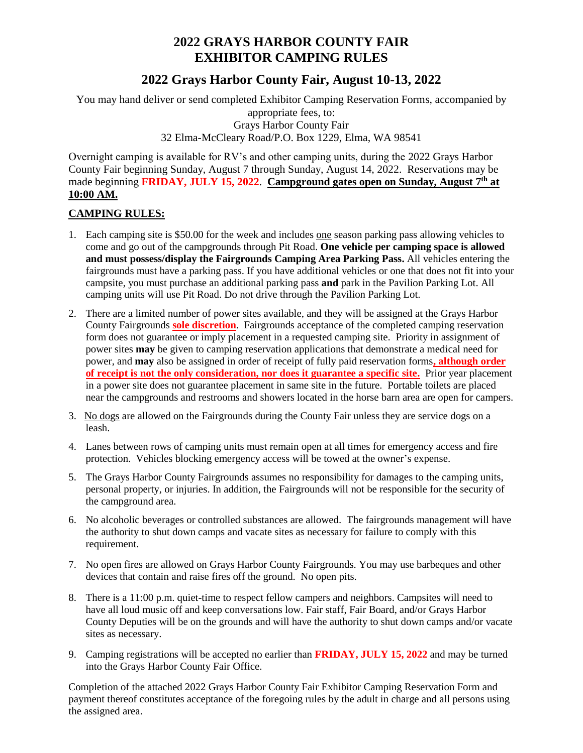## **2022 GRAYS HARBOR COUNTY FAIR EXHIBITOR CAMPING RULES**

## **2022 Grays Harbor County Fair, August 10-13, 2022**

You may hand deliver or send completed Exhibitor Camping Reservation Forms, accompanied by appropriate fees, to: Grays Harbor County Fair 32 Elma-McCleary Road/P.O. Box 1229, Elma, WA 98541

Overnight camping is available for RV's and other camping units, during the 2022 Grays Harbor County Fair beginning Sunday, August 7 through Sunday, August 14, 2022. Reservations may be made beginning FRIDAY, JULY 15, 2022. Campground gates open on Sunday, August 7<sup>th</sup> at **10:00 AM.**

## **CAMPING RULES:**

- 1. Each camping site is \$50.00 for the week and includes one season parking pass allowing vehicles to come and go out of the campgrounds through Pit Road. **One vehicle per camping space is allowed and must possess/display the Fairgrounds Camping Area Parking Pass.** All vehicles entering the fairgrounds must have a parking pass. If you have additional vehicles or one that does not fit into your campsite, you must purchase an additional parking pass **and** park in the Pavilion Parking Lot. All camping units will use Pit Road. Do not drive through the Pavilion Parking Lot.
- 2. There are a limited number of power sites available, and they will be assigned at the Grays Harbor County Fairgrounds **sole discretion**. Fairgrounds acceptance of the completed camping reservation form does not guarantee or imply placement in a requested camping site. Priority in assignment of power sites **may** be given to camping reservation applications that demonstrate a medical need for power, and **may** also be assigned in order of receipt of fully paid reservation forms**, although order of receipt is not the only consideration, nor does it guarantee a specific site.** Prior year placement in a power site does not guarantee placement in same site in the future. Portable toilets are placed near the campgrounds and restrooms and showers located in the horse barn area are open for campers.
- 3. No dogs are allowed on the Fairgrounds during the County Fair unless they are service dogs on a leash.
- 4. Lanes between rows of camping units must remain open at all times for emergency access and fire protection. Vehicles blocking emergency access will be towed at the owner's expense.
- 5. The Grays Harbor County Fairgrounds assumes no responsibility for damages to the camping units, personal property, or injuries. In addition, the Fairgrounds will not be responsible for the security of the campground area.
- 6. No alcoholic beverages or controlled substances are allowed. The fairgrounds management will have the authority to shut down camps and vacate sites as necessary for failure to comply with this requirement.
- 7. No open fires are allowed on Grays Harbor County Fairgrounds. You may use barbeques and other devices that contain and raise fires off the ground. No open pits.
- 8. There is a 11:00 p.m. quiet-time to respect fellow campers and neighbors. Campsites will need to have all loud music off and keep conversations low. Fair staff, Fair Board, and/or Grays Harbor County Deputies will be on the grounds and will have the authority to shut down camps and/or vacate sites as necessary.
- 9. Camping registrations will be accepted no earlier than **FRIDAY, JULY 15, 2022** and may be turned into the Grays Harbor County Fair Office.

Completion of the attached 2022 Grays Harbor County Fair Exhibitor Camping Reservation Form and payment thereof constitutes acceptance of the foregoing rules by the adult in charge and all persons using the assigned area.